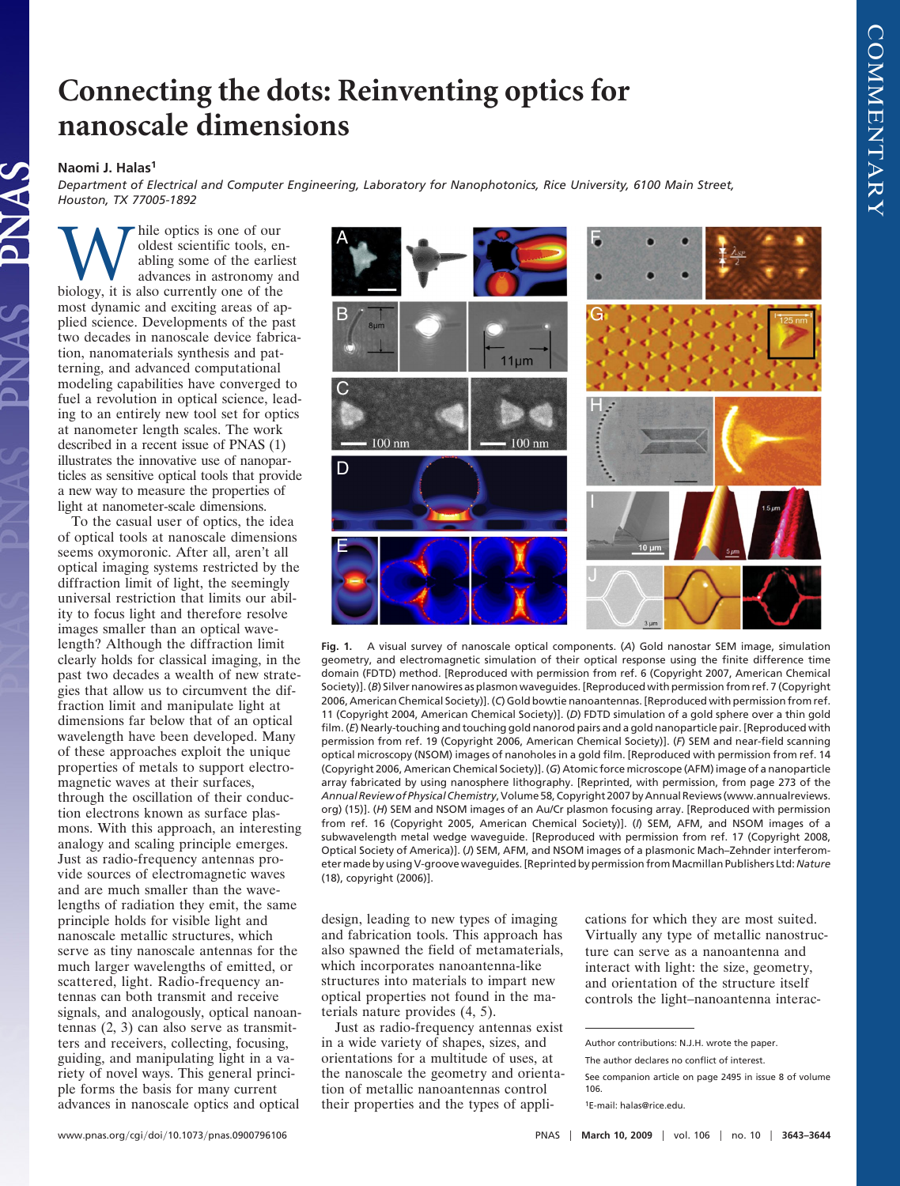## **Connecting the dots: Reinventing optics for nanoscale dimensions**

## **Naomi J. Halas1**

*Department of Electrical and Computer Engineering, Laboratory for Nanophotonics, Rice University, 6100 Main Street, Houston, TX 77005-1892*

**M** hile optics is one of our oldest scientific tools, en abling some of the earlies advances in astronomy a biology, it is also currently one of the oldest scientific tools, enabling some of the earliest advances in astronomy and most dynamic and exciting areas of applied science. Developments of the past two decades in nanoscale device fabrication, nanomaterials synthesis and patterning, and advanced computational modeling capabilities have converged to fuel a revolution in optical science, leading to an entirely new tool set for optics at nanometer length scales. The work described in a recent issue of PNAS (1) illustrates the innovative use of nanoparticles as sensitive optical tools that provide a new way to measure the properties of light at nanometer-scale dimensions.

To the casual user of optics, the idea of optical tools at nanoscale dimensions seems oxymoronic. After all, aren't all optical imaging systems restricted by the diffraction limit of light, the seemingly universal restriction that limits our ability to focus light and therefore resolve images smaller than an optical wavelength? Although the diffraction limit clearly holds for classical imaging, in the past two decades a wealth of new strategies that allow us to circumvent the diffraction limit and manipulate light at dimensions far below that of an optical wavelength have been developed. Many of these approaches exploit the unique properties of metals to support electromagnetic waves at their surfaces, through the oscillation of their conduction electrons known as surface plasmons. With this approach, an interesting analogy and scaling principle emerges. Just as radio-frequency antennas provide sources of electromagnetic waves and are much smaller than the wavelengths of radiation they emit, the same principle holds for visible light and nanoscale metallic structures, which serve as tiny nanoscale antennas for the much larger wavelengths of emitted, or scattered, light. Radio-frequency antennas can both transmit and receive signals, and analogously, optical nanoantennas (2, 3) can also serve as transmitters and receivers, collecting, focusing, guiding, and manipulating light in a variety of novel ways. This general principle forms the basis for many current advances in nanoscale optics and optical



**Fig. 1.** A visual survey of nanoscale optical components. (*A*) Gold nanostar SEM image, simulation geometry, and electromagnetic simulation of their optical response using the finite difference time domain (FDTD) method. [Reproduced with permission from ref. 6 (Copyright 2007, American Chemical Society)]. (*B*) Silver nanowires as plasmon waveguides. [Reproduced with permission from ref. 7 (Copyright 2006, American Chemical Society)]. (*C*) Gold bowtie nanoantennas. [Reproduced with permission from ref. 11 (Copyright 2004, American Chemical Society)]. (*D*) FDTD simulation of a gold sphere over a thin gold film. (*E*) Nearly-touching and touching gold nanorod pairs and a gold nanoparticle pair. [Reproduced with permission from ref. 19 (Copyright 2006, American Chemical Society)]. (*F*) SEM and near-field scanning optical microscopy (NSOM) images of nanoholes in a gold film. [Reproduced with permission from ref. 14 (Copyright 2006, American Chemical Society)]. (*G*) Atomic force microscope (AFM) image of a nanoparticle array fabricated by using nanosphere lithography. [Reprinted, with permission, from page 273 of the *Annual Review of Physical Chemistry*, Volume 58, Copyright 2007 by Annual Reviews (www.annualreviews. org) (15)]. (*H*) SEM and NSOM images of an Au/Cr plasmon focusing array. [Reproduced with permission from ref. 16 (Copyright 2005, American Chemical Society)]. (*I*) SEM, AFM, and NSOM images of a subwavelength metal wedge waveguide. [Reproduced with permission from ref. 17 (Copyright 2008, Optical Society of America)]. (*J*) SEM, AFM, and NSOM images of a plasmonic Mach–Zehnder interferometer made by using V-groove waveguides. [Reprinted by permission fromMacmillan Publishers Ltd: *Nature* (18), copyright (2006)].

design, leading to new types of imaging and fabrication tools. This approach has also spawned the field of metamaterials, which incorporates nanoantenna-like structures into materials to impart new optical properties not found in the materials nature provides (4, 5).

Just as radio-frequency antennas exist in a wide variety of shapes, sizes, and orientations for a multitude of uses, at the nanoscale the geometry and orientation of metallic nanoantennas control their properties and the types of applications for which they are most suited. Virtually any type of metallic nanostructure can serve as a nanoantenna and interact with light: the size, geometry, and orientation of the structure itself controls the light–nanoantenna interac-

Author contributions: N.J.H. wrote the paper.

The author declares no conflict of interest.

See companion article on page 2495 in issue 8 of volume 106.

<sup>1</sup>E-mail: halas@rice.edu.